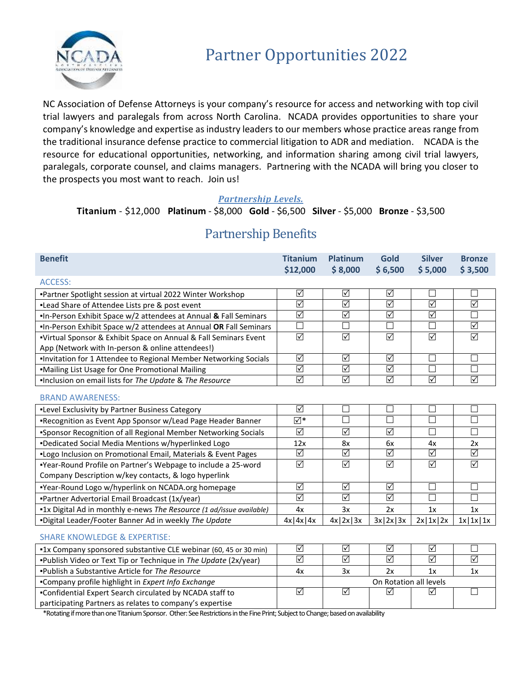

NC Association of Defense Attorneys is your company's resource for access and networking with top civil trial lawyers and paralegals from across North Carolina. NCADA provides opportunities to share your company's knowledge and expertise as industry leaders to our members whose practice areas range from the traditional insurance defense practice to commercial litigation to ADR and mediation. NCADA is the resource for educational opportunities, networking, and information sharing among civil trial lawyers, paralegals, corporate counsel, and claims managers. Partnering with the NCADA will bring you closer to the prospects you most want to reach. Join us!

#### *Partnership Levels.*

### **Titanium** - \$12,000 **Platinum** - \$8,000 **Gold** - \$6,500 **Silver** - \$5,000 **Bronze** - \$3,500

| <b>Benefit</b>                                                                                                                                                         | <b>Titanium</b><br>\$12,000 | <b>Platinum</b><br>\$8,000 | <b>Gold</b><br>\$6,500     | <b>Silver</b><br>\$5,000 | <b>Bronze</b><br>\$3,500 |
|------------------------------------------------------------------------------------------------------------------------------------------------------------------------|-----------------------------|----------------------------|----------------------------|--------------------------|--------------------------|
| <b>ACCESS:</b>                                                                                                                                                         |                             |                            |                            |                          |                          |
| "Partner Spotlight session at virtual 2022 Winter Workshop                                                                                                             | $\triangledown$             | $\triangledown$            | $\triangledown$            |                          | $\Box$                   |
| .Lead Share of Attendee Lists pre & post event                                                                                                                         | $\overline{\mathbf{S}}$     | $\overline{\mathbb{S}}$    | $\overline{\leq}$          | $\overline{\leq}$        | $\overline{\mathbf{S}}$  |
| In-Person Exhibit Space w/2 attendees at Annual & Fall Seminars                                                                                                        | $\triangledown$             | $\overline{\mathsf{S}}$    | $\overline{\leq}$          | $\overline{\leq}$        | $\Box$                   |
| .In-Person Exhibit Space w/2 attendees at Annual OR Fall Seminars                                                                                                      | $\Box$                      | $\Box$                     | $\Box$                     |                          | $\triangledown$          |
| "Virtual Sponsor & Exhibit Space on Annual & Fall Seminars Event                                                                                                       | $\overline{\leq}$           | $\overline{\mathsf{S}}$    | $\overline{\mathbf{S}}$    | $\overline{\mathbb{S}}$  | $\overline{\mathsf{S}}$  |
| App (Network with In-person & online attendees!)                                                                                                                       |                             |                            |                            |                          |                          |
| .Invitation for 1 Attendee to Regional Member Networking Socials                                                                                                       | $\triangledown$             | $\triangledown$            | $\triangledown$            | $\Box$                   | $\Box$                   |
| .Mailing List Usage for One Promotional Mailing                                                                                                                        | $\overline{\mathbf{S}}$     | $\Delta$                   | $\overline{\mathbf{S}}$    |                          | $\Box$                   |
| .Inclusion on email lists for The Update & The Resource                                                                                                                | $\overline{\mathbf{S}}$     | $\overline{\mathbb{S}}$    | $\overline{\mathsf{S}}$    | $\triangledown$          | $\triangledown$          |
| <b>BRAND AWARENESS:</b>                                                                                                                                                |                             |                            |                            |                          |                          |
| .Level Exclusivity by Partner Business Category                                                                                                                        | $\overline{\leq}$           | ٦                          | П                          |                          | Г                        |
| *Recognition as Event App Sponsor w/Lead Page Header Banner                                                                                                            | ⊻⊺∑                         | $\overline{\phantom{a}}$   | П                          |                          | П                        |
| *Sponsor Recognition of all Regional Member Networking Socials                                                                                                         | $\triangledown$             | $\triangledown$            | $\overline{\leq}$          | П                        | $\Box$                   |
| *Dedicated Social Media Mentions w/hyperlinked Logo                                                                                                                    | 12x                         | 8x                         | 6x                         | 4x                       | 2x                       |
| "Logo Inclusion on Promotional Email, Materials & Event Pages                                                                                                          | $\overline{\leq}$           | $\overline{\mathbb{S}}$    | $\overline{\leq}$          | $\overline{\mathbb{S}}$  | ☑                        |
| "Year-Round Profile on Partner's Webpage to include a 25-word                                                                                                          | $\triangledown$             | $\Delta$                   | $\overline{\mathsf{S}}$    | $\Delta$                 | $\triangledown$          |
| Company Description w/key contacts, & logo hyperlink                                                                                                                   |                             |                            |                            |                          |                          |
| "Year-Round Logo w/hyperlink on NCADA.org homepage                                                                                                                     | $\overline{\mathbb{S}}$     | $\overline{\mathsf{M}}$    | $\overline{\triangledown}$ | $\Box$                   | $\Box$                   |
| •Partner Advertorial Email Broadcast (1x/year)                                                                                                                         | $\overline{\leq}$           | $\overline{\mathsf{S}}$    | $\overline{\mathsf{M}}$    |                          | $\Box$                   |
| "1x Digital Ad in monthly e-news The Resource (1 ad/issue available)                                                                                                   | 4x                          | 3x                         | 2x                         | 1x                       | 1x                       |
| "Digital Leader/Footer Banner Ad in weekly The Update                                                                                                                  | $4x$   $4x$   $4x$          | $4x$   2x   3x             | 3x 2x 3x                   | 2x 1x 2x                 | $1x$   $1x$   $1x$       |
| <b>SHARE KNOWLEDGE &amp; EXPERTISE:</b>                                                                                                                                |                             |                            |                            |                          |                          |
| "1x Company sponsored substantive CLE webinar (60, 45 or 30 min)                                                                                                       | $\overline{\leq}$           | $\overline{\leq}$          | $\overline{\leq}$          | $\overline{\leq}$        | П                        |
| "Publish Video or Text Tip or Technique in The Update (2x/year)                                                                                                        | $\triangledown$             | ☑                          | $\overline{\leq}$          | $\triangledown$          | $\triangledown$          |
| . Publish a Substantive Article for The Resource                                                                                                                       | 4x                          | 3x                         | 2x                         | 1x                       | 1x                       |
| •Company profile highlight in Expert Info Exchange                                                                                                                     |                             |                            | On Rotation all levels     |                          |                          |
| . Confidential Expert Search circulated by NCADA staff to                                                                                                              | $\overline{\leq}$           | $\triangledown$            | ☑                          | ☑                        | П                        |
| participating Partners as relates to company's expertise<br>*Detative if we are there are Titanium Creamen. Others Can Destrictions in the Fire Drivt: Cubiant to Chen |                             | أمرم المممم والرم          |                            |                          |                          |

## Partnership Benefits

\*Rotating if more than one Titanium Sponsor. Other: See Restrictions in the Fine Print; Subject to Change; based on availability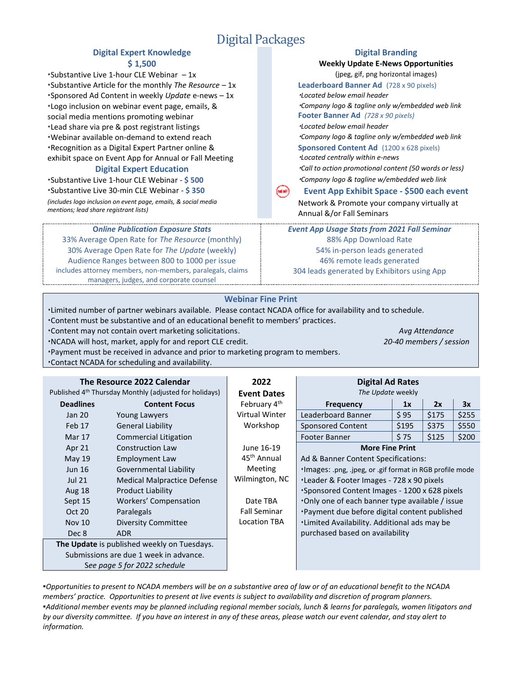## Digital Packages

# **Digital Expert Knowledge Digital Branding**

Substantive Live 1-hour CLE Webinar  $-1x$  (jpeg, gif, png horizontal images) **Substantive Article for the monthly** *The Resource* **– 1x <b>Leaderboard Banner Ad** (728 x 90 pixels)<br> **Substantive Article for the monthly** *The Resource* **– 1x** *Located below email header***<br>** *Located below email header* Sponsored Ad Content in weekly *Update* e-news – 1x *Located below email header* Logo inclusion on webinar event page, emails, & social media mentions promoting webinar Lead share via pre & post registrant listings *Located below email header* Webinar available on-demand to extend reach Recognition as a Digital Expert Partner online & exhibit space on Event App for Annual or Fall Meeting

Substantive Live 1-hour CLE Webinar - **\$ 500** *Company logo & tagline w/embedded web link* Substantive Live 30-min CLE Webinar - **\$ 350 Event App Exhibit Space - \$500 each event** *(includes logo inclusion on event page, emails, & social media mentions; lead share registrant lists)*

**O***nline Publication Exposure Stats* 33% Average Open Rate for *The Resource* (monthly) 30% Average Open Rate for *The Update* (weekly) Audience Ranges between 800 to 1000 per issue includes attorney members, non-members, paralegals, claims managers, judges, and corporate counsel

**\$ 1,500 Weekly Update E-News Opportunities** *Company logo & tagline only w/embedded web link* **Footer Banner Ad** *(728 x 90 pixels) Company logo & tagline only w/embedded web link* **Sponsored Content Ad** (1200 x 628 pixels) *Located centrally within e-news* **Digital Expert Education** *Call to action promotional content (50 words or less)* Network & Promote your company virtually at

> Annual &/or Fall Seminars *Event App Usage Stats from 2021 Fall Seminar* 88% App Download Rate

54% in-person leads generated 46% remote leads generated 304 leads generated by Exhibitors using App

#### **Webinar Fine Print**

Limited number of partner webinars available. Please contact NCADA office for availability and to schedule. Content must be substantive and of an educational benefit to members' practices.

Content may not contain overt marketing solicitations. *Avg Attendance*

NCADA will host, market, apply for and report CLE credit. *20-40 members / session*

Payment must be received in advance and prior to marketing program to members. Contact NCADA for scheduling and availability.

| The Resource 2022 Calendar                                         |                                    | 2022                     | <b>Digital Ad Rates</b>                                  |       |       |       |
|--------------------------------------------------------------------|------------------------------------|--------------------------|----------------------------------------------------------|-------|-------|-------|
| Published 4 <sup>th</sup> Thursday Monthly (adjusted for holidays) |                                    | <b>Event Dates</b>       | The Update weekly                                        |       |       |       |
| <b>Deadlines</b>                                                   | <b>Content Focus</b>               | February 4 <sup>th</sup> | <b>Frequency</b>                                         | 1x    | 2x    | 3x    |
| Jan 20                                                             | <b>Young Lawyers</b>               | Virtual Winter           | Leaderboard Banner                                       | \$95  | \$175 | \$255 |
| Feb 17                                                             | <b>General Liability</b>           | Workshop                 | <b>Sponsored Content</b>                                 | \$195 | \$375 | \$550 |
| Mar 17                                                             | Commercial Litigation              |                          | Footer Banner                                            | \$75  | \$125 | \$200 |
| Apr 21                                                             | <b>Construction Law</b>            | June 16-19               | <b>More Fine Print</b>                                   |       |       |       |
| May $19$                                                           | Employment Law                     | 45 <sup>th</sup> Annual  | Ad & Banner Content Specifications:                      |       |       |       |
| <b>Jun 16</b>                                                      | Governmental Liability             | <b>Meeting</b>           | ·Images: .png, .jpeg, or .gif format in RGB profile mode |       |       |       |
| <b>Jul 21</b>                                                      | <b>Medical Malpractice Defense</b> | Wilmington, NC           | •Leader & Footer Images - 728 x 90 pixels                |       |       |       |
| Aug 18                                                             | <b>Product Liability</b>           |                          | Sponsored Content Images - 1200 x 628 pixels             |       |       |       |
| Sept 15                                                            | Workers' Compensation              | Date TBA                 | Only one of each banner type available / issue           |       |       |       |
| Oct 20                                                             | Paralegals                         | <b>Fall Seminar</b>      | *Payment due before digital content published            |       |       |       |
| <b>Nov 10</b>                                                      | <b>Diversity Committee</b>         | Location TBA             | *Limited Availability. Additional ads may be             |       |       |       |
| Dec 8                                                              | ADR.                               |                          | purchased based on availability                          |       |       |       |
| The Update is published weekly on Tuesdays.                        |                                    |                          |                                                          |       |       |       |
| Submissions are due 1 week in advance.                             |                                    |                          |                                                          |       |       |       |
|                                                                    | See page 5 for 2022 schedule       |                          |                                                          |       |       |       |

▪*Opportunities to present to NCADA members will be on a substantive area of law or of an educational benefit to the NCADA members' practice. Opportunities to present at live events is subject to availability and discretion of program planners.* ▪*Additional member events may be planned including regional member socials, lunch & learns for paralegals, women litigators and by our diversity committee. If you have an interest in any of these areas, please watch our event calendar, and stay alert to information.*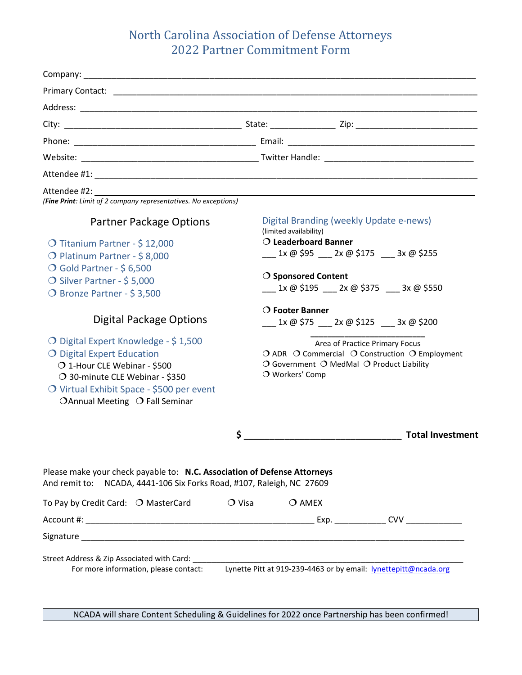## North Carolina Association of Defense Attorneys 2022 Partner Commitment Form

| (Fine Print: Limit of 2 company representatives. No exceptions)                                                                                                                                                      |                 |                                                |                                                                             |                                                                 |
|----------------------------------------------------------------------------------------------------------------------------------------------------------------------------------------------------------------------|-----------------|------------------------------------------------|-----------------------------------------------------------------------------|-----------------------------------------------------------------|
| Partner Package Options<br>O Titanium Partner - \$12,000                                                                                                                                                             |                 | (limited availability)<br>O Leaderboard Banner | Digital Branding (weekly Update e-news)                                     | $1x \omega$ \$95 2x $\omega$ \$175 3x $\omega$ \$255            |
| O Platinum Partner - \$8,000<br>O Gold Partner - \$6,500<br>O Silver Partner - \$5,000<br>O Bronze Partner - \$3,500                                                                                                 |                 | ○ Sponsored Content                            |                                                                             | 1x @ \$195  2x @ \$375  3x @ \$550                              |
| Digital Package Options                                                                                                                                                                                              |                 | $\bigcirc$ Footer Banner                       |                                                                             | $1x \omega$ \$75 2x $\omega$ \$125 3x $\omega$ \$200            |
| O Digital Expert Knowledge - \$1,500<br>O Digital Expert Education<br>O 1-Hour CLE Webinar - \$500<br>O 30-minute CLE Webinar - \$350<br>O Virtual Exhibit Space - \$500 per event<br>OAnnual Meeting O Fall Seminar |                 | O Workers' Comp                                | Area of Practice Primary Focus<br>O Government O MedMal O Product Liability | O ADR O Commercial O Construction O Employment                  |
|                                                                                                                                                                                                                      | \$              |                                                |                                                                             | <b>Total Investment</b>                                         |
| Please make your check payable to: N.C. Association of Defense Attorneys<br>And remit to: NCADA, 4441-106 Six Forks Road, #107, Raleigh, NC 27609                                                                    |                 |                                                |                                                                             |                                                                 |
| To Pay by Credit Card: $\bigcirc$ MasterCard                                                                                                                                                                         | $\bigcirc$ Visa | $\bigcirc$ amex                                |                                                                             |                                                                 |
|                                                                                                                                                                                                                      |                 |                                                |                                                                             |                                                                 |
|                                                                                                                                                                                                                      |                 |                                                |                                                                             |                                                                 |
| Street Address & Zip Associated with Card:<br>For more information, please contact:                                                                                                                                  |                 |                                                |                                                                             | Lynette Pitt at 919-239-4463 or by email: lynettepitt@ncada.org |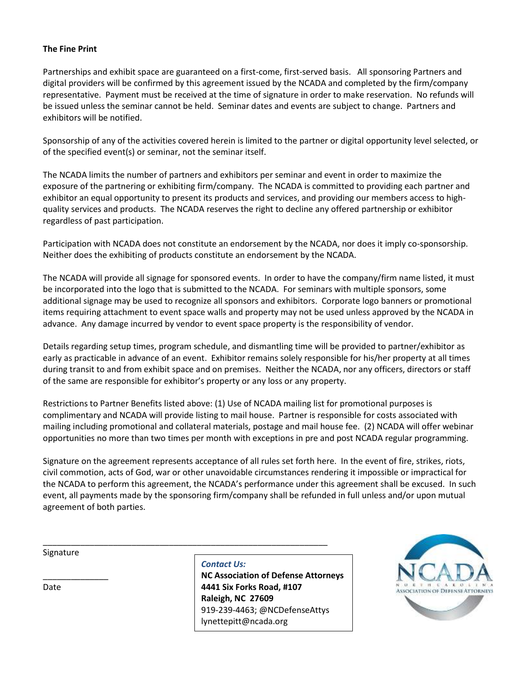#### **The Fine Print**

Partnerships and exhibit space are guaranteed on a first-come, first-served basis. All sponsoring Partners and digital providers will be confirmed by this agreement issued by the NCADA and completed by the firm/company representative. Payment must be received at the time of signature in order to make reservation. No refunds will be issued unless the seminar cannot be held. Seminar dates and events are subject to change. Partners and exhibitors will be notified.

Sponsorship of any of the activities covered herein is limited to the partner or digital opportunity level selected, or of the specified event(s) or seminar, not the seminar itself.

The NCADA limits the number of partners and exhibitors per seminar and event in order to maximize the exposure of the partnering or exhibiting firm/company. The NCADA is committed to providing each partner and exhibitor an equal opportunity to present its products and services, and providing our members access to highquality services and products. The NCADA reserves the right to decline any offered partnership or exhibitor regardless of past participation.

Participation with NCADA does not constitute an endorsement by the NCADA, nor does it imply co-sponsorship. Neither does the exhibiting of products constitute an endorsement by the NCADA.

The NCADA will provide all signage for sponsored events. In order to have the company/firm name listed, it must be incorporated into the logo that is submitted to the NCADA. For seminars with multiple sponsors, some additional signage may be used to recognize all sponsors and exhibitors. Corporate logo banners or promotional items requiring attachment to event space walls and property may not be used unless approved by the NCADA in advance. Any damage incurred by vendor to event space property is the responsibility of vendor.

Details regarding setup times, program schedule, and dismantling time will be provided to partner/exhibitor as early as practicable in advance of an event. Exhibitor remains solely responsible for his/her property at all times during transit to and from exhibit space and on premises. Neither the NCADA, nor any officers, directors or staff of the same are responsible for exhibitor's property or any loss or any property.

Restrictions to Partner Benefits listed above: (1) Use of NCADA mailing list for promotional purposes is complimentary and NCADA will provide listing to mail house. Partner is responsible for costs associated with mailing including promotional and collateral materials, postage and mail house fee. (2) NCADA will offer webinar opportunities no more than two times per month with exceptions in pre and post NCADA regular programming.

Signature on the agreement represents acceptance of all rules set forth here. In the event of fire, strikes, riots, civil commotion, acts of God, war or other unavoidable circumstances rendering it impossible or impractical for the NCADA to perform this agreement, the NCADA's performance under this agreement shall be excused. In such event, all payments made by the sponsoring firm/company shall be refunded in full unless and/or upon mutual agreement of both parties.

\_\_\_\_\_\_\_\_\_\_\_\_\_\_

Date

*Contact Us:*

\_\_\_\_\_\_\_\_\_\_\_\_\_\_\_\_\_\_\_\_\_\_\_\_\_\_\_\_\_\_\_\_\_\_\_\_\_\_\_\_\_\_\_\_\_\_\_\_\_\_\_\_\_\_\_\_\_\_\_\_\_

**NC Association of Defense Attorneys 4441 Six Forks Road, #107 Raleigh, NC 27609** 919-239-4463; @NCDefenseAttys lynettepitt@ncada.org